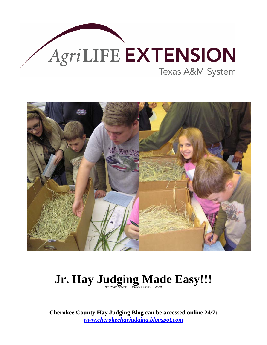



# **Jr. Hay Judging Made Easy!!!**

**Cherokee County Hay Judging Blog can be accessed online 24/7:**  *[www.cherokeehayjudging.blogspot.com](http://www.cherokeehayjudging.blogspot.com/)*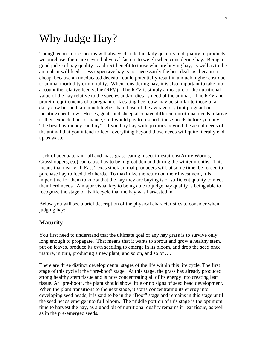### Why Judge Hay?

Though economic concerns will always dictate the daily quantity and quality of products we purchase, there are several physical factors to weigh when considering hay. Being a good judge of hay quality is a direct benefit to those who are buying hay, as well as to the animals it will feed. Less expensive hay is not necessarily the best deal just because it's cheap, because an uneducated decision could potentially result in a much higher cost due to animal morbidity or mortality. When considering hay, it is also important to take into account the relative feed value (RFV). The RFV is simply a measure of the nutritional value of the hay relative to the species and/or dietary need of the animal. The RFV and protein requirements of a pregnant or lactating beef cow may be similar to those of a dairy cow but both are much higher than those of the average dry (not pregnant or lactating) beef cow. Horses, goats and sheep also have different nutritional needs relative to their expected performance, so it would pay to research those needs before you buy "the best hay money can buy". If you buy hay with qualities beyond the actual needs of the animal that you intend to feed, everything beyond those needs will quite literally end up as waste.

Lack of adequate rain fall and mass grass-eating insect infestations(Army Worms, Grasshoppers, etc) can cause hay to be in great demand during the winter months. This means that nearly all East Texas stock animal producers will, at some time, be forced to purchase hay to feed their herds. To maximize the return on their investment, it is imperative for them to know that the hay they are buying is of sufficient quality to meet their herd needs. A major visual key to being able to judge hay quality is being able to recognize the stage of its lifecycle that the hay was harvested in.

Below you will see a brief description of the physical characteristics to consider when judging hay:

#### **Maturity**

You first need to understand that the ultimate goal of any hay grass is to survive only long enough to propagate. That means that it wants to sprout and grow a healthy stem, put on leaves, produce its own seedling to emerge in its bloom, and drop the seed once mature, in turn, producing a new plant, and so on, and so on....

There are three distinct developmental stages of the life within this life cycle. The first stage of this cycle it the "pre-boot" stage. At this stage, the grass has already produced strong healthy stem tissue and is now concentrating all of its energy into creating leaf tissue. At "pre-boot", the plant should show little or no signs of seed head development. When the plant transitions to the next stage, it starts concentrating its energy into developing seed heads, it is said to be in the "Boot" stage and remains in this stage until the seed heads emerge into full bloom. The middle portion of this stage is the optimum time to harvest the hay, as a good bit of nutritional quality remains in leaf tissue, as well as in the pre-emerged seeds.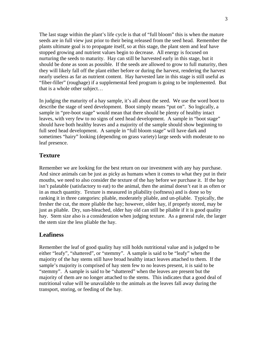The last stage within the plant's life cycle is that of "full bloom" this is when the mature seeds are in full view just prior to their being released from the seed head. Remember the plants ultimate goal is to propagate itself, so at this stage, the plant stem and leaf have stopped growing and nutrient values begin to decrease. All energy is focused on nurturing the seeds to maturity. Hay can still be harvested early in this stage, but it should be done as soon as possible. If the seeds are allowed to grow to full maturity, then they will likely fall off the plant either before or during the harvest, rendering the harvest nearly useless as far as nutrient content. Hay harvested late in this stage is still useful as "fiber-filler" (roughage) if a supplemental feed program is going to be implemented. But that is a whole other subject…

In judging the maturity of a hay sample, it's all about the seed. We use the word boot to describe the stage of seed development. Boot simply means "put on". So logically, a sample in "pre-boot stage" would mean that there should be plenty of healthy intact leaves, with very few to no signs of seed head development. A sample in "boot stage" should have both healthy leaves and a majority of the sample should show beginning to full seed head development. A sample in "full bloom stage" will have dark and sometimes "hairy" looking (depending on grass variety) large seeds with moderate to no leaf presence.

#### **Texture**

Remember we are looking for the best return on our investment with any hay purchase. And since animals can be just as picky as humans when it comes to what they put in their mouths, we need to also consider the texture of the hay before we purchase it. If the hay isn't palatable (satisfactory to eat) to the animal, then the animal doesn't eat it as often or in as much quantity. Texture is measured in pliability (softness) and is done so by ranking it in three categories: pliable, moderately pliable, and un-pliable. Typically, the fresher the cut, the more pliable the hay; however, older hay, if properly stored, may be just as pliable. Dry, sun-bleached, older hay old can still be pliable if it is good quality hay. Stem size also is a consideration when judging texture. As a general rule, the larger the stem size the less pliable the hay.

#### **Leafiness**

Remember the leaf of good quality hay still holds nutritional value and is judged to be either "leafy", "shattered", or "stemmy". A sample is said to be "leafy" when the majority of the hay stems still have broad healthy intact leaves attached to them. If the sample's majority is comprised of hay stem few to no leaves present, it is said to be "stemmy". A sample is said to be "shattered" when the leaves are present but the majority of them are no longer attached to the stems. This indicates that a good deal of nutritional value will be unavailable to the animals as the leaves fall away during the transport, storing, or feeding of the hay.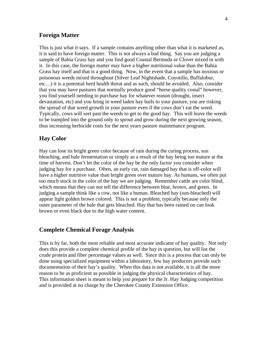#### **Foreign Matter**

This is just what it says. If a sample contains anything other than what it is marketed as, it is said to have foreign matter. This is not always a bad thing. Say you are judging a sample of Bahia Grass hay and you find good Coastal Bermuda or Clover mixed in with it. In this case, the foreign matter may have a higher nutritional value than the Bahia Grass hay itself and that is a good thing. Now, in the event that a sample has noxious or poisonous weeds mixed throughout (Silver Leaf Nightshade, Coyotillo, Buffalobur, etc…) it is a potential herd health threat and as such, should be avoided. Also, consider that you may have pastures that normally produce good "horse quality costal" however, you find yourself needing to purchase hay for whatever reason (drought, insect devastation, etc) and you bring in weed laden hay bails to your pasture, you are risking the spread of that weed growth in your pasture even if the cows don't eat the weed. Typically, cows will sort past the weeds to get to the good hay. This will leave the weeds to be trampled into the ground only to sprout and grow during the next growing season, thus increasing herbicide costs for the next years pasture maintenance program.

#### **Hay Color**

Hay can lose its bright green color because of rain during the curing process, sun bleaching, and bale fermentation or simply as a result of the hay being too mature at the time of harvest. Don't let the color of the hay be the only factor you consider when judging hay for a purchase. Often, an early cut, rain damaged hay that is off-color will have a higher nutritive value than bright green over mature hay. As humans, we often put too much stock in the color of the hay we are judging. Remember cattle are color blind, which means that they can not tell the difference between blue, brown, and green. In judging a sample think like a cow, not like a human. Bleached hay (sun-bleached) will appear light golden brown colored. This is not a problem, typically because only the outer parameter of the bale that gets bleached. Hay that has been rained on can look brown or even black due to the high water content.

#### **Complete Chemical Forage Analysis**

This is by far, both the most reliable and most accurate indicator of hay quality. Not only does this provide a complete chemical profile of the hay in question, but will list the crude protein and fiber percentage values as well. Since this is a process that can only be done using specialized equipment within a laboratory, few hay producers provide such documentation of their hay's quality. When this data is not available, it is all the more reason to be as proficient as possible in judging the physical characteristics of hay. This information sheet is meant to help you prepare for the Jr. Hay Judging competition and is provided at no charge by the Cherokee County Extension Office.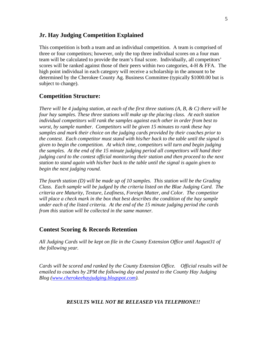#### **Jr. Hay Judging Competition Explained**

This competition is both a team and an individual competition. A team is comprised of three or four competitors; however, only the top three individual scores on a four man team will be calculated to provide the team's final score. Individually, all competitors' scores will be ranked against those of their peers within two categories,  $4-H \& FFA$ . The high point individual in each category will receive a scholarship in the amount to be determined by the Cherokee County Ag. Business Committee (typically \$1000.00 but is subject to change).

#### **Competition Structure:**

*There will be 4 judging station, at each of the first three stations (A, B, & C) there will be four hay samples. These three stations will make up the placing class. At each station individual competitors will rank the samples against each other in order from best to worst, by sample number. Competitors will be given 15 minutes to rank these hay samples and mark their choice on the judging cards provided by their coaches prior to the contest. Each competitor must stand with his/her back to the table until the signal is given to begin the competition. At which time, competitors will turn and begin judging the samples. At the end of the 15 minute judging period all competitors will hand their judging card to the contest official monitoring their station and then proceed to the next station to stand again with his/her back to the table until the signal is again given to begin the next judging round.* 

*The fourth station (D) will be made up of 10 samples. This station will be the Grading Class. Each sample will be judged by the criteria listed on the Blue Judging Card. The criteria are Maturity, Texture, Leafiness, Foreign Matter, and Color. The competitor will place a check mark in the box that best describes the condition of the hay sample under each of the listed criteria. At the end of the 15 minute judging period the cards from this station will be collected in the same manner.* 

#### **Contest Scoring & Records Retention**

*All Judging Cards will be kept on file in the County Extension Office until August31 of the following year.* 

*Cards will be scored and ranked by the County Extension Office. Official results will be emailed to coaches by 2PM the following day and posted to the County Hay Judging Blog ([www.cherokeehayjudging.blogspot.com](http://www.cherokeehayjudging.blogspot.com/)).* 

#### *RESULTS WILL NOT BE RELEASED VIA TELEPHONE!!*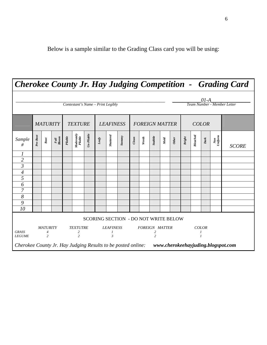|                                                                                                 |                                                     |           |                                                            |                                  |                                                                                 |              |                                         |                  |                                      |                       |                                                             |          |      |              |                   |                              |           |                       | <b>Cherokee County Jr. Hay Judging Competition - Grading Card</b> |
|-------------------------------------------------------------------------------------------------|-----------------------------------------------------|-----------|------------------------------------------------------------|----------------------------------|---------------------------------------------------------------------------------|--------------|-----------------------------------------|------------------|--------------------------------------|-----------------------|-------------------------------------------------------------|----------|------|--------------|-------------------|------------------------------|-----------|-----------------------|-------------------------------------------------------------------|
|                                                                                                 |                                                     |           |                                                            |                                  | Contestant's Name - Print Legibly                                               |              |                                         |                  |                                      |                       |                                                             |          |      |              |                   |                              | $01-A$    |                       | Team Number - Member Letter                                       |
|                                                                                                 | <b>MATURITY</b>                                     |           |                                                            | <b>TEXTURE</b>                   |                                                                                 |              | <b>LEAFINESS</b>                        |                  |                                      | <b>FOREIGN MATTER</b> |                                                             |          |      | <b>COLOR</b> |                   |                              |           |                       |                                                                   |
| Sample<br>#                                                                                     | Pre-Boot                                            | $_{Boot}$ | $\begin{array}{c} Full \\ B\,loop\\ B\,loop\\ \end{array}$ | Piable                           | $\begin{array}{c} \textit{Moderate} \textit{by} \\ \textit{Piable} \end{array}$ | $Un-Pliable$ | $\mathit{Leafy}$                        | <b>Shattered</b> | <b>Stemmy</b>                        | $\emph{Clem}$         | Weeds                                                       | $Subble$ | Nold | <b>Other</b> | <b>Bright</b>     | $\label{red} \emph{Bleched}$ | $_{Dark}$ | $\frac{Non}{Uniform}$ | <b>SCORE</b>                                                      |
| 1                                                                                               |                                                     |           |                                                            |                                  |                                                                                 |              |                                         |                  |                                      |                       |                                                             |          |      |              |                   |                              |           |                       |                                                                   |
| $\overline{c}$                                                                                  |                                                     |           |                                                            |                                  |                                                                                 |              |                                         |                  |                                      |                       |                                                             |          |      |              |                   |                              |           |                       |                                                                   |
| $\overline{\mathfrak{z}}$                                                                       |                                                     |           |                                                            |                                  |                                                                                 |              |                                         |                  |                                      |                       |                                                             |          |      |              |                   |                              |           |                       |                                                                   |
| 4                                                                                               |                                                     |           |                                                            |                                  |                                                                                 |              |                                         |                  |                                      |                       |                                                             |          |      |              |                   |                              |           |                       |                                                                   |
| 5                                                                                               |                                                     |           |                                                            |                                  |                                                                                 |              |                                         |                  |                                      |                       |                                                             |          |      |              |                   |                              |           |                       |                                                                   |
| 6                                                                                               |                                                     |           |                                                            |                                  |                                                                                 |              |                                         |                  |                                      |                       |                                                             |          |      |              |                   |                              |           |                       |                                                                   |
| $\overline{7}$                                                                                  |                                                     |           |                                                            |                                  |                                                                                 |              |                                         |                  |                                      |                       |                                                             |          |      |              |                   |                              |           |                       |                                                                   |
| 8                                                                                               |                                                     |           |                                                            |                                  |                                                                                 |              |                                         |                  |                                      |                       |                                                             |          |      |              |                   |                              |           |                       |                                                                   |
| 9<br>10                                                                                         |                                                     |           |                                                            |                                  |                                                                                 |              |                                         |                  |                                      |                       |                                                             |          |      |              |                   |                              |           |                       |                                                                   |
|                                                                                                 |                                                     |           |                                                            |                                  |                                                                                 |              |                                         |                  | SCORING SECTION - DO NOT WRITE BELOW |                       |                                                             |          |      |              |                   |                              |           |                       |                                                                   |
| <b>GRASS</b><br><b>LEGUME</b>                                                                   | <b>MATURITY</b><br>$\overline{4}$<br>$\overline{2}$ |           |                                                            | <b>TEXTUTRE</b><br>$\frac{2}{2}$ |                                                                                 |              | <b>LEAFINESS</b><br>1<br>$\overline{3}$ |                  |                                      |                       | <b>FOREIGN MATTER</b><br>$\boldsymbol{z}$<br>$\overline{c}$ |          |      |              | <b>COLOR</b><br>1 |                              |           |                       |                                                                   |
| Cherokee County Jr. Hay Judging Results to be posted online: www.cherokeehayjuding.blogspot.com |                                                     |           |                                                            |                                  |                                                                                 |              |                                         |                  |                                      |                       |                                                             |          |      |              |                   |                              |           |                       |                                                                   |

Below is a sample similar to the Grading Class card you will be using: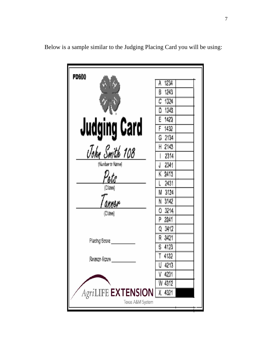| <b>PD600</b>                 | -1234<br>Å          |
|------------------------------|---------------------|
|                              | 1243<br>B           |
|                              | 1324                |
|                              | 1342<br>D           |
|                              | E 1423              |
| <b>Judging Card</b>          | 1432                |
|                              | G 2134              |
| John Smith 108               | H 2143              |
|                              | 2314                |
| (Number or Name)             | 2341                |
| $\mathcal{D}_{\textit{elS}}$ | K 2413              |
| (Class)                      | 2431                |
|                              | 3124<br>М           |
| anner                        | N 3142              |
| (Cl <sub>386</sub> )         | 0 3214              |
|                              | P 3241              |
|                              | Q 3412              |
| Placing Score                | R 3421              |
|                              | Ŝ.<br>4123          |
| Reason Score                 | $\mathsf T$<br>4132 |
|                              | 4213                |
|                              | 4231                |
|                              | W 4312              |
| <b>AgriLIFE EXTENSION</b>    | X<br>4321           |
| Texas A&M System             |                     |

Below is a sample similar to the Judging Placing Card you will be using: